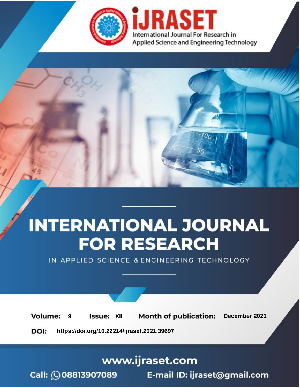

# **INTERNATIONAL JOURNAL FOR RESEARCH**

IN APPLIED SCIENCE & ENGINEERING TECHNOLOGY

**Month of publication: Volume: Issue: XII** December 2021 9 DOI: https://doi.org/10.22214/ijraset.2021.39697

www.ijraset.com

Call: 008813907089 | E-mail ID: ijraset@gmail.com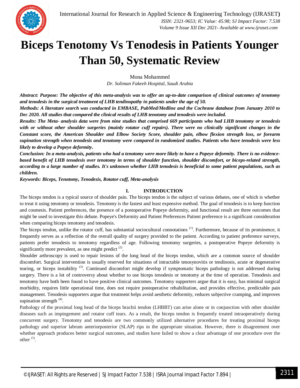

### **Biceps Tenotomy Vs Tenodesis in Patients Younger Than 50, Systematic Review**

Mona Mohammed *Dr. Soliman Fakeeh Hospital, Saudi Arabia*

*Abstract: Purpose: The objective of this meta-analysis was to offer an up-to-date comparison of clinical outcomes of tenotomy and tenodesis in the surgical treatment of LHB tendinopathy in patients under the age of 50.*

*Methods: A literature search was conducted in EMBASE, PubMed/Medline and the Cochrane database from January 2010 to Dec 2020. All studies that compared the clinical results of LHB tenotomy and tenodesis were included.*

*Results: The Meta- analysis data were from nine studies that comprised 669 participants who had LHB tenotomy or tenodesis with or without other shoulder surgeries (mainly rotator cuff repairs). There were no clinically significant changes in the Constant score, the American Shoulder and Elbow Society Score, shoulder pain, elbow flexion strength loss, or forearm supination strength when tenodesis and tenotomy were compared in randomized studies. Patients who have tenodesis were less likely to develop a Popeye deformity.*

*Conclusion: In a meta-analysis, patients who had a tenotomy were more likely to have a Popeye deformity. There is no evidencebased benefit of LHB tenodesis over tenotomy in terms of shoulder function, shoulder discomfort, or biceps-related strength, according to a large number of studies. It's unknown whether LHB tenodesis is beneficial to some patient populations, such as children.*

*Keywords: Biceps, Tenotomy, Tenodesis, Rotator cuff, Meta-analysis*

#### **I. INTRODUCTION**

The biceps tendon is a typical source of shoulder pain. The biceps tendon is the subject of various debates, one of which is whether to treat it using tenotomy or tenodesis. Tenotomy is the fastest and least expensive method. The goal of tenodesis is to keep function and cosmesis. Patient preferences, the presence of a postoperative Popeye deformity, and functional result are three outcomes that might be used to investigate this debate. Popeye's Deformity and Patient Preferences Patient preference is a significant consideration when comparing biceps tenotomy and tenodesis.

The biceps tendon, unlike the rotator cuff, has substantial sociocultural connotations <sup>(1)</sup>. Furthermore, because of its prominence, it frequently serves as a reflection of the overall quality of surgery provided to the patient. According to patient preference surveys, patients prefer tenodesis to tenotomy regardless of age. Following tenotomy surgeries, a postoperative Popeye deformity is significantly more prevalent, as one might predict  $(2)$ .

Shoulder arthroscopy is used to repair lesions of the long head of the biceps tendon, which are a common source of shoulder discomfort. Surgical intervention is usually reserved for situations of intractable tenosynovitis or tendinosis, acute or degenerative tearing, or biceps instability  $^{(3)}$ . Continued discomfort might develop if symptomatic biceps pathology is not addressed during surgery. There is a lot of controversy about whether to use biceps tenodesis or tenotomy at the time of operation. Tenodesis and tenotomy have both been found to have positive clinical outcomes. Tenotomy supporters argue that it is easy, has minimal surgical morbidity, requires little operational time, does not require postoperative rehabilitation, and provides effective, predictable pain management. Tenodesis supporters argue that treatment helps avoid aesthetic deformity, reduces subjective cramping, and improves supination strength<sup>(4)</sup>.

Pathology of the proximal long head of the biceps brachii tendon (LHBBT) can arise alone or in conjunction with other shoulder diseases such as impingement and rotator cuff tears. As a result, the biceps tendon is frequently treated intraoperatively during concurrent surgery. Tenotomy and tenodesis are two commonly utilized alternative procedures for treating proximal biceps pathology and superior labrum anteriorposterior (SLAP) rips in the appropriate situation. However, there is disagreement over whether approach produces better surgical outcomes, and studies have failed to show a clear advantage of one procedure over the other  $(5)$ .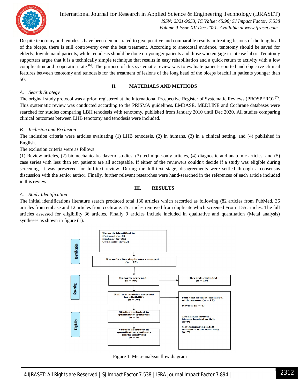

International Journal for Research in Applied Science & Engineering Technology (IJRASET**)**  *ISSN: 2321-9653; IC Value: 45.98; SJ Impact Factor: 7.538 Volume 9 Issue XII Dec 2021- Available at www.ijraset.com*

Despite tenotomy and tenodesis have been demonstrated to give positive and comparable results in treating lesions of the long head of the biceps, there is still controversy over the best treatment. According to anecdotal evidence, tenotomy should be saved for elderly, low-demand patients, while tenodesis should be done on younger patients and those who engage in intense labor. Tenotomy supporters argue that it is a technically simple technique that results in easy rehabilitation and a quick return to activity with a low complication and reoperation rate <sup>(6)</sup>. The purpose of this systematic review was to evaluate patient-reported and objective clinical features between tenotomy and tenodesis for the treatment of lesions of the long head of the biceps brachii in patients younger than 50.

#### **II. MATERIALS AND METHODS**

#### *A. Search Strategy*

The original study protocol was a priori registered at the International Prospective Register of Systematic Reviews (PROSPERO)<sup>(7)</sup>. This systematic review was conducted according to the PRISMA guidelines. EMBASE, MEDLINE and Cochrane databases were searched for studies comparing LBH tenodesis with tenotomy, published from January 2010 until Dec 2020. All studies comparing clinical outcomes between LHB tenotomy and tenodesis were included.

#### *B. Inclusion and Exclusion*

The inclusion criteria were articles evaluating (1) LHB tenodesis, (2) in humans, (3) in a clinical setting, and (4) published in English.

#### The exclusion criteria were as follows:

(1) Review articles, (2) biomechanical/cadaveric studies, (3) technique-only articles, (4) diagnostic and anatomic articles, and (5) case series with less than ten patients are all acceptable. If either of the reviewers couldn't decide if a study was eligible during screening, it was preserved for full-text review. During the full-text stage, disagreements were settled through a consensus discussion with the senior author. Finally, further relevant researches were hand-searched in the references of each article included in this review.

#### **III. RESULTS**

#### *A. Study Identification*

The initial identifications literature search produced total 130 articles which recorded as following (82 articles from PubMed, 36 articles from embase and 12 articles from cochrane. 75 articles removed from duplicate which screened From it 55 articles. The full articles assessed for eligibility 36 articles. Finally 9 articles include included in qualitative and quantitation (Metal analysis) syntheses as shown in figure (1).



Figure 1. Meta-analysis flow diagram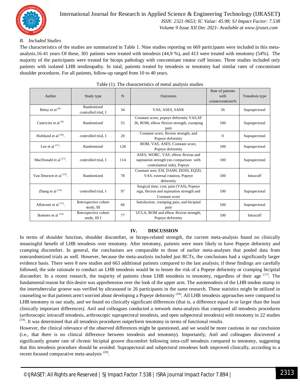

#### International Journal for Research in Applied Science & Engineering Technology (IJRASET**)**  *ISSN: 2321-9653; IC Value: 45.98; SJ Impact Factor: 7.538 Volume 9 Issue XII Dec 2021- Available at www.ijraset.com*

#### *B. Included Studies*

The characteristics of the studies are summarized in Table 1. Nine studies reporting on 669 participants were included in this metaanalysis.16-41 years Of these, 301 patients were treated with tenodesis (44,9 %), and 413 were treated with tenotomy (54%). The majority of the participants were treated for biceps pathology with concomitant rotator cuff lesions. Three studies included only patients with isolated LHB tendinopathy. In total, patients treated by tenodesis or tenotomy had similar rates of concomitant shoulder procedures. For all patients, follow-up ranged from 10 to 40 years.

| Author                        | Study type                           | N   | <b>Outcomes</b>                                                                                              | Rate of patients<br>with<br>cointerventions% | Tenodesis type |
|-------------------------------|--------------------------------------|-----|--------------------------------------------------------------------------------------------------------------|----------------------------------------------|----------------|
| Belay et al (8).              | Randomized<br>controlled trial, I    | 34  | VAS, ASES, SANE                                                                                              | 56                                           | Suprapectoral  |
| Castricini et al $(9)$ .      | Randomized                           | 55  | Constant score, popeye deformity VAS, SF<br>36, ROM, elbow flexion strength, cramping<br>pain                | 100                                          | Suprapectoral  |
| Hufeland et al $(10)$ .       | controlled trial, I                  | 20  | Constant score, flexion strength, and<br>Popeye deformity                                                    | $\Omega$                                     | Suprapectoral  |
| Lee et al $(11)$ .            | Randomized                           | 128 | ROM, VAS, ASES, Constant score,<br>Popeye deformity                                                          | 100                                          | Suprapectoral  |
| MacDonald et al $(12)$ .      | controlled trial, I                  | 114 | ASES, WORC, VAS, elbow flexion and<br>supination strength (no comparison with<br>contralateral side), Popeye | 100                                          | Suprapectoral  |
| Van Deurzen et al $^{(13)}$ . | Randomized                           | 78  | Constant sore, ESI, DASH, DOSS, EQ5D,<br>VAS, external rotation, Popeye<br>deformity                         | 100                                          | Intracuff      |
| Zhang et al (14).             | controlled trial, I                  | 97  | Surgical time, cost, pain (VAS), Popeye<br>sign, flexion and supination strength and<br>Constant score       | 100                                          | Suprapectoral  |
| Aflatooni et al $^{(15)}$ .   | Retrospective cohort<br>study, III   | 66  | Satisfaction, cramping pain, and bicipital<br>pain                                                           | 100                                          | Suprapectoral  |
| Ikemoto et al (16)            | Retrospective cohort<br>study, III I | 77  | UCLA, ROM and elbow flexion strength,<br>Popeye deformity                                                    | 100                                          | Intracuff      |

#### Table (1). The characteristics of metal analysis studies

#### **IV. DISCUSSION**

In terms of shoulder function, shoulder discomfort, or biceps-related strength, the current meta-analysis found no clinically meaningful benefit of LHB tenodesis over tenotomy. After tenotomy, patients were more likely to have Popeye deformity and cramping discomfort. In general, the conclusions are comparable to those of earlier meta-analyses that pooled data from nonrandomized trials as well. However, because the meta-analysis included just RCTs, the conclusions had a significantly larger evidence basis. There were 8 new studies and 663 additional patients compared to the last analysis; if these findings are carefully followed, the sole rationale to conduct an LHB tenodesis would be to lessen the risk of a Popeye deformity or cramping bicipital discomfort. In a recent research, the majority of patients chose LHB tenodesis to tenotomy, regardless of their age <sup>(17)</sup>. The fundamental reason for this desire was apprehension over the look of the upper arm. The autotenodesis of the LHB tendon stump in the intertubercular groove was verified by ultrasound in 26 participants in the same research. These statistics might be utilized in counseling so that patients aren't worried about developing a Popeye deformity <sup>(18)</sup>. All LHB tenodesis approaches were compared to LHB tenotomy in our study, and we found no clinically significant differences (that is, a difference equal to or larger than the least clinically important differences). Anil and colleagues conducted a network meta-analysis that compared all tenodesis procedures (arthroscopic intracuff tenodesis, arthroscopic suprapectoral tenodesis, and open subpectoral tenodesis) with tenotomy in 22 studies <sup>(19)</sup>. It was determined that all tenodesis procedures outperform tenotomy in terms of functional results.

However, the clinical relevance of the observed differences might be questioned, and we would be more cautious in our conclusion (i.e., that there is no clinical difference between tenodesis and tenotomy). Importantly, Anil and colleagues discovered a significantly greater rate of chronic bicipital groove discomfort following intra-cuff tenodesis compared to tenotomy, suggesting that this tenodesis procedure should be avoided. Suprapectoral and subpectoral tenodeses both improved clinically, according to a recent focused comparative meta-analysis<sup>(20)</sup>.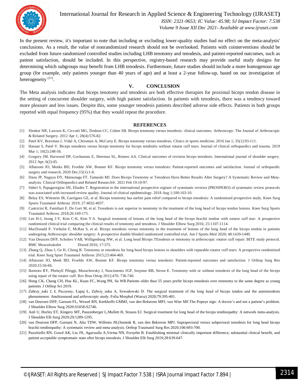

International Journal for Research in Applied Science & Engineering Technology (IJRASET**)**

 *ISSN: 2321-9653; IC Value: 45.98; SJ Impact Factor: 7.538 Volume 9 Issue XII Dec 2021- Available at www.ijraset.com*

In the present review, it's important to note that including or excluding lower-quality studies had no effect on the meta-analysis' conclusions. As a result, the value of nonrandomized research should not be overlooked. Patients with cointerventions should be excluded from future randomized controlled studies including LHB tenotomy and tenodesis, and patient-reported outcomes, such as patient satisfaction, should be included. In this perspective, registry-based research may provide useful study designs for determining which subgroups may benefit from LHB tenodesis. Furthermore, future studies should include a more homogenous age group (for example, only patients younger than 40 years of age) and at least a 2-year follow-up, based on our investigation of heterogeneity<sup>(21)</sup>.

#### **V. CONCLUSION**

The Meta analysis indicates that biceps tenotomy and tenodesis are both effective therapies for proximal biceps tendon disease in the setting of concurrent shoulder surgery, with high patient satisfaction. In patients with tenodesis, there was a tendency toward more pleasure and less issues. Despite this, some younger tenodesis patients described adverse side effects. Patients in both groups reported with equal frequency (95%) that they would repeat the procedure.

#### **REFERENCES**

- [1] Slenker NR, Lawson K, Ciccotti MG, Dodson CC, Cohen SB. Biceps tenotomy versus tenodesis: clinical outcomes. Arthroscopy: The Journal of Arthroscopic & Related Surgery. 2012 Apr 1; 28(4):576-82.
- [2] Patel KV, Bravman J, Vidal A, Chrisman A, McCarty E. Biceps tenotomy versus tenodesis. Clinics in sports medicine. 2016 Jan 1; 35(1):93-111.
- [3] Hassan S, Patel V. Biceps tenodesis versus biceps tenotomy for biceps tendinitis without rotator cuff tears. Journal of clinical orthopaedics and trauma. 2019 Mar 1; 10(2):248-56.
- [4] Gregory JM, Harwood DP, Gochanour E, Sherman SL, Romeo AA. Clinical outcomes of revision biceps tenodesis. International journal of shoulder surgery. 2012 Apr; 6(2):45.
- [5] Aflatooni JO, Meeks BD, Froehle AW, Bonner KF. Biceps tenotomy versus tenodesis: Patient-reported outcomes and satisfaction. Journal of orthopaedic surgery and research. 2020 Dec;15(1):1-0.
- [6] Daou JP, Nagaya DY, Matsunaga FT, Tamaoki MJ. Does Biceps Tenotomy or Tenodesis Have Better Results After Surgery? A Systematic Review and Metaanalysis. Clinical Orthopaedics and Related Research®. 2021 Feb 19:10-97.
- [7] Sideri S, Papageorgiou SN, Eliades T. Registration in the international prospective register of systematic reviews (PROSPERO) of systematic review protocols was associated with increased review quality. Journal of clinical epidemiology. 2018 Aug 1;100:103-10.
- [8] Belay ES, Wittstein JR, Garrigues GE, et al. Biceps tenotomy has earlier pain relief compared to biceps tenodesis: A randomized prospective study. Knee Surg Sports Traumatol Arthrosc 2019; 27:4032-4037.
- [9] Castricini R, Familiari F, De Gori M, et al. Tenodesis is not superior to tenotomy in the treatment of the long head of biceps tendon lesions. Knee Surg Sports Traumatol Arthrosc 2018;26:169-175.
- [10] Lee H-J, Jeong J-Y, Kim C-K, Kim Y-S. Surgical treatment of lesions of the long head of the biceps brachii tendon with rotator cuff tear: A prospective randomized clinical trial comparing the clinical results of tenotomy and tenodesis. J Shoulder Elbow Surg 2016; 25:1107-1114.
- [11] MacDonald P, Verhulst F, McRae S, et al. Biceps tenodesis versus tenotomy in the treatment of lesions of the long head of the biceps tendon in patients undergoing Arthroscopic shoulder surgery: A prospective double blinded randomized controlled trial. Am J Sports Med 2020; 48:1439-1449.
- [12] Van Deurzen DFP, Scholtes VAB, Willigenburg NW, et al. Long head BIceps TEnodesis or tenotomy in arthroscopic rotator cuff repair: BITE study protocol. BMC Musculoskelet Disord 2016: 17:375.
- [13] Zhang Q, Zhou J, Ge H, Cheng B. Tenotomy or tenodesis for long head biceps lesions in shoulders with reparable rotator cuff tears: A prospective randomized trial. Knee Surg Sport Traumatol Arthrosc 2015;23:464-469.
- [14] Aflatooni JO, Meek BD, Froehle AW, Bonner KF. Biceps tenotomy versus tenodesis: Patient-reported outcomes and satisfaction. J Orthop Surg Res 2020;15:56-66.
- [15] Ikemoto RY, PbelayE Pileggi, Murachovsky J, Nascimento JGP, Serpone RB, Strose E. Tenotomy with or without tenodesis of the long head of the biceps using repair of the rotator cuff. Rev Bras Ortop 2012;476: 736-740.
- [16] Hong CK, Chang CH, Hsu KL, Kuan FC, Wang PH, Su WR.Patients older than 55 years prefer biceps tenodesis over tenotomy to the same degree as young patients. J Orthop Sci 2019.
- [17] Zabrzy\_nski J, Ł Paczesny, Łapaj Ł, Zabrzy\_nska A, Szwedowski D. The surgical treatment of the long head of biceps tendon and the autotenodesis phenomenon: Anultrasound and arthroscopic study. Folia Morphol (Warsz) 2020;79:395-401.
- [18] van Deurzen DFP, Garssen FL, Wessel RN, Kerkhoffs GMMJ, van den Bekerom MPJ, van Wier MF.The Popeye sign: A doctor's and not a patient's problem. J Shoulder Elbow Surg 2020:S1058-S2746.
- [19] Anil U, Hurley ET, Kingery MT, Pauzenberger L,Mullett H, Strauss EJ. Surgical treatment for long head of the biceps tendinopathy: A network meta-analysis. J Shoulder Elb Surg 2020;29:1289-1295.
- [20] van Deurzen DFP, Gurnani N, Alta TDW, Willems JH,Onstenk R, van den Bekerom MPJ. Suprapectoral versus subpectoral tenodesis for long head biceps brachii tendinopathy: A systematic review and meta-analysis. Orthop Traumatol Surg Res 2020;106:693-700.
- [21] Puzzitiello RN, Gowd AK, Liu JN, Agarwalla A,Verma NN, Forsythe B. Establishing minimal clinically important difference, substantial clinical benefit, and patient acceptable symptomatic state after biceps tenodesis. J Shoulder Elb Surg 2019;28:639-647.